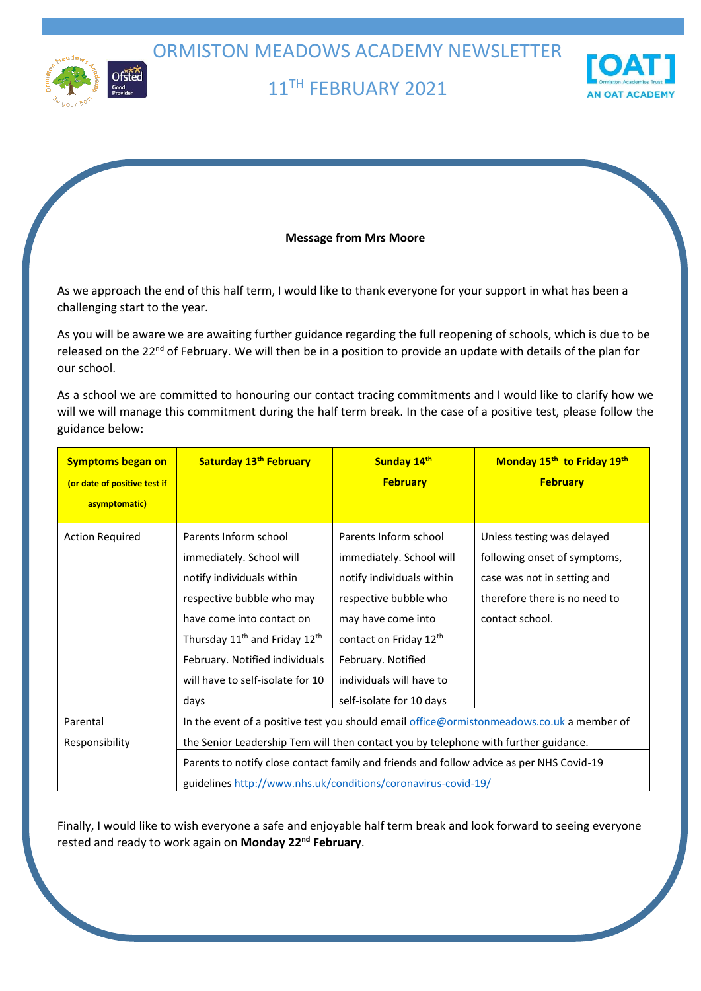ORMISTON MEADOWS ACADEMY NEWSLETTER



# 11TH FEBRUARY 2021



### **Message from Mrs Moore**

As we approach the end of this half term, I would like to thank everyone for your support in what has been a challenging start to the year.

As you will be aware we are awaiting further guidance regarding the full reopening of schools, which is due to be released on the 22<sup>nd</sup> of February. We will then be in a position to provide an update with details of the plan for our school.

As a school we are committed to honouring our contact tracing commitments and I would like to clarify how we will we will manage this commitment during the half term break. In the case of a positive test, please follow the guidance below:

| <b>Symptoms began on</b><br>(or date of positive test if | Saturday 13 <sup>th</sup> February                                                                                                                        | Sunday 14th<br><b>February</b> | Monday 15 <sup>th</sup> to Friday 19 <sup>th</sup><br><b>February</b> |
|----------------------------------------------------------|-----------------------------------------------------------------------------------------------------------------------------------------------------------|--------------------------------|-----------------------------------------------------------------------|
| asymptomatic)                                            |                                                                                                                                                           |                                |                                                                       |
| <b>Action Required</b>                                   | Parents Inform school                                                                                                                                     | Parents Inform school          | Unless testing was delayed                                            |
|                                                          | immediately. School will                                                                                                                                  | immediately. School will       | following onset of symptoms,                                          |
|                                                          | notify individuals within                                                                                                                                 | notify individuals within      | case was not in setting and                                           |
|                                                          | respective bubble who may                                                                                                                                 | respective bubble who          | therefore there is no need to                                         |
|                                                          | have come into contact on                                                                                                                                 | may have come into             | contact school.                                                       |
|                                                          | Thursday 11 <sup>th</sup> and Friday 12 <sup>th</sup>                                                                                                     | contact on Friday 12th         |                                                                       |
|                                                          | February. Notified individuals                                                                                                                            | February. Notified             |                                                                       |
|                                                          | will have to self-isolate for 10                                                                                                                          | individuals will have to       |                                                                       |
|                                                          | days                                                                                                                                                      | self-isolate for 10 days       |                                                                       |
| Parental                                                 | In the event of a positive test you should email office@ormistonmeadows.co.uk a member of                                                                 |                                |                                                                       |
| Responsibility                                           | the Senior Leadership Tem will then contact you by telephone with further guidance.                                                                       |                                |                                                                       |
|                                                          | Parents to notify close contact family and friends and follow advice as per NHS Covid-19<br>guidelines http://www.nhs.uk/conditions/coronavirus-covid-19/ |                                |                                                                       |
|                                                          |                                                                                                                                                           |                                |                                                                       |

Finally, I would like to wish everyone a safe and enjoyable half term break and look forward to seeing everyone rested and ready to work again on **Monday 22nd February**.